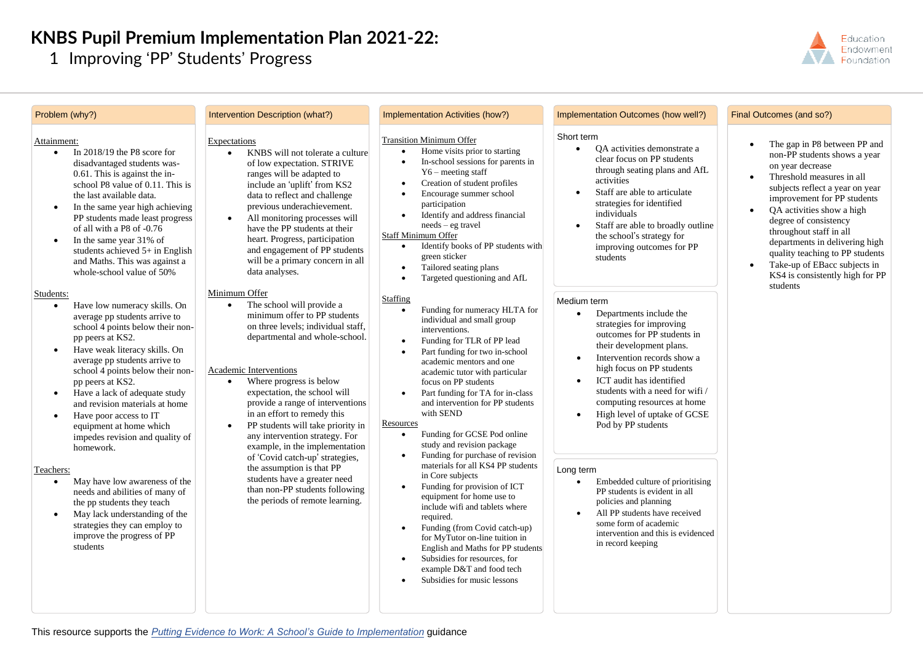## **KNBS Pupil Premium Implementation Plan 2021-22:**

1 Improving 'PP' Students' Progress



| Problem (why?)                                                                                                                                                                                                                                                                                                                                                                                                                       | Intervention Description (what?)                                                                                                                                                                                                                                                                                                                                                                                    | Implementation Activities (how?)                                                                                                                                                                                                                                                                                                                                                                                                                                                                                                                                                                                                       | Implementation Outcomes (how well?)                                                                                                                                                                                                                                                                                           | Final Outcomes (and so?)                                                                                                                                                                                                                                                                                                                                                                                             |
|--------------------------------------------------------------------------------------------------------------------------------------------------------------------------------------------------------------------------------------------------------------------------------------------------------------------------------------------------------------------------------------------------------------------------------------|---------------------------------------------------------------------------------------------------------------------------------------------------------------------------------------------------------------------------------------------------------------------------------------------------------------------------------------------------------------------------------------------------------------------|----------------------------------------------------------------------------------------------------------------------------------------------------------------------------------------------------------------------------------------------------------------------------------------------------------------------------------------------------------------------------------------------------------------------------------------------------------------------------------------------------------------------------------------------------------------------------------------------------------------------------------------|-------------------------------------------------------------------------------------------------------------------------------------------------------------------------------------------------------------------------------------------------------------------------------------------------------------------------------|----------------------------------------------------------------------------------------------------------------------------------------------------------------------------------------------------------------------------------------------------------------------------------------------------------------------------------------------------------------------------------------------------------------------|
| Attainment:<br>In $2018/19$ the P8 score for<br>disadvantaged students was-<br>0.61. This is against the in-<br>school P8 value of 0.11. This is<br>the last available data.<br>In the same year high achieving<br>PP students made least progress<br>of all with a P8 of -0.76<br>In the same year 31% of<br>students achieved 5+ in English<br>and Maths. This was against a<br>whole-school value of 50%                          | Expectations<br>KNBS will not tolerate a culture<br>of low expectation. STRIVE<br>ranges will be adapted to<br>include an 'uplift' from KS2<br>data to reflect and challenge<br>previous underachievement.<br>All monitoring processes will<br>have the PP students at their<br>heart. Progress, participation<br>and engagement of PP students<br>will be a primary concern in all<br>data analyses.               | <b>Transition Minimum Offer</b><br>Home visits prior to starting<br>In-school sessions for parents in<br>$Y6$ – meeting staff<br>Creation of student profiles<br>Encourage summer school<br>participation<br>Identify and address financial<br>$needs - eg travel$<br>Staff Minimum Offer<br>Identify books of PP students with<br>green sticker<br>Tailored seating plans<br>Targeted questioning and AfL                                                                                                                                                                                                                             | Short term<br>OA activities demonstrate a<br>clear focus on PP students<br>through seating plans and AfL<br>activities<br>Staff are able to articulate<br>strategies for identified<br>individuals<br>Staff are able to broadly outline<br>the school's strategy for<br>improving outcomes for PP<br>students                 | The gap in P8 between PP and<br>non-PP students shows a year<br>on year decrease<br>Threshold measures in all<br>subjects reflect a year on year<br>improvement for PP students<br>OA activities show a high<br>degree of consistency<br>throughout staff in all<br>departments in delivering high<br>quality teaching to PP students<br>Take-up of EBacc subjects in<br>KS4 is consistently high for PP<br>students |
| Students:<br>Have low numeracy skills. On<br>average pp students arrive to<br>school 4 points below their non-<br>pp peers at KS2.<br>Have weak literacy skills. On<br>average pp students arrive to<br>school 4 points below their non-<br>pp peers at KS2.<br>Have a lack of adequate study<br>and revision materials at home<br>Have poor access to IT<br>equipment at home which<br>impedes revision and quality of<br>homework. | Minimum Offer<br>The school will provide a<br>minimum offer to PP students<br>on three levels; individual staff,<br>departmental and whole-school.<br>Academic Interventions<br>Where progress is below<br>expectation, the school will<br>provide a range of interventions<br>in an effort to remedy this<br>PP students will take priority in<br>any intervention strategy. For<br>example, in the implementation | Staffing<br>Medium term<br>Funding for numeracy HLTA for<br>individual and small group<br>interventions.<br>Funding for TLR of PP lead<br>Part funding for two in-school<br>academic mentors and one<br>academic tutor with particular<br>focus on PP students<br>Part funding for TA for in-class<br>and intervention for PP students<br>with SEND<br>Resources<br>Funding for GCSE Pod online<br>study and revision package<br>Funding for purchase of revision<br>materials for all KS4 PP students<br>Long term<br>in Core subjects<br>Funding for provision of ICT<br>equipment for home use to<br>inglude wifi and tablets where | Departments include the<br>strategies for improving<br>outcomes for PP students in<br>their development plans.<br>Intervention records show a<br>high focus on PP students<br>ICT audit has identified<br>students with a need for wifi/<br>computing resources at home<br>High level of uptake of GCSE<br>Pod by PP students |                                                                                                                                                                                                                                                                                                                                                                                                                      |
| Teachers:<br>May have low awareness of the<br>needs and abilities of many of<br>the pp students they teach                                                                                                                                                                                                                                                                                                                           | of 'Covid catch-up' strategies,<br>the assumption is that PP<br>students have a greater need<br>than non-PP students following<br>the periods of remote learning.                                                                                                                                                                                                                                                   |                                                                                                                                                                                                                                                                                                                                                                                                                                                                                                                                                                                                                                        | Embedded culture of prioritising<br>PP students is evident in all<br>policies and planning                                                                                                                                                                                                                                    |                                                                                                                                                                                                                                                                                                                                                                                                                      |

• May lack understanding of the strategies they can employ to improve the progress of PP students

- equipment for home use to include wifi and tablets where required.
- Funding (from Covid catch-up) for MyTutor on-line tuition in English and Maths for PP students
- Subsidies for resources, for example D&T and food tech
- Subsidies for music lessons
- policies and planning
- All PP students have received some form of academic intervention and this is evidenced in record keeping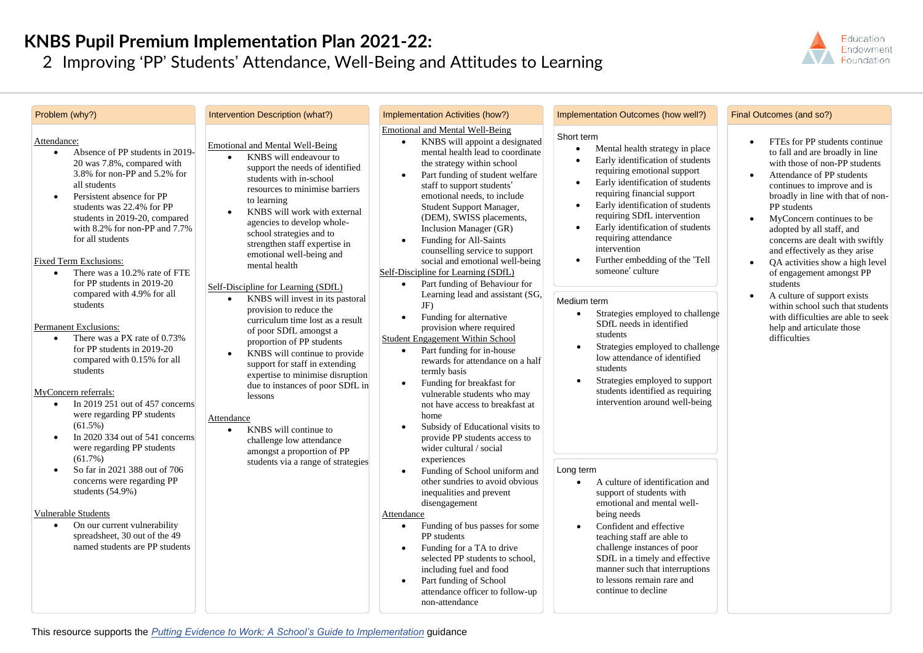## **KNBS Pupil Premium Implementation Plan 2021-22:**

2 Improving 'PP' Students' Attendance, Well-Being and Attitudes to Learning



| Problem (why?)                                                                                                                                                                                                                                                                                                                                                                                                                                                                                                                                                                                                                                                                                                                                                                                                    | Intervention Description (what?)                                                                                                                                                                                                                                                                                                                                                                                                                                                                                                                                                                                                                                                                                                                                                                                                                                                 | Implementation Activities (how?)                                                                                                                                                                                                                                                                                                                                                                                                                                                                                                                                                                                                                                                                                                                                                                                                                                                                                                                                                                                      | Implementation Outcomes (how well?)                                                                                                                                                                                                                                                                                                                                                                                                                                                                                                                                                                                                                                                                                             | Final Outcomes (and so?)                                                                                                                                                                                                                                                                                                                                                                                                                                                                                                                                                                      |
|-------------------------------------------------------------------------------------------------------------------------------------------------------------------------------------------------------------------------------------------------------------------------------------------------------------------------------------------------------------------------------------------------------------------------------------------------------------------------------------------------------------------------------------------------------------------------------------------------------------------------------------------------------------------------------------------------------------------------------------------------------------------------------------------------------------------|----------------------------------------------------------------------------------------------------------------------------------------------------------------------------------------------------------------------------------------------------------------------------------------------------------------------------------------------------------------------------------------------------------------------------------------------------------------------------------------------------------------------------------------------------------------------------------------------------------------------------------------------------------------------------------------------------------------------------------------------------------------------------------------------------------------------------------------------------------------------------------|-----------------------------------------------------------------------------------------------------------------------------------------------------------------------------------------------------------------------------------------------------------------------------------------------------------------------------------------------------------------------------------------------------------------------------------------------------------------------------------------------------------------------------------------------------------------------------------------------------------------------------------------------------------------------------------------------------------------------------------------------------------------------------------------------------------------------------------------------------------------------------------------------------------------------------------------------------------------------------------------------------------------------|---------------------------------------------------------------------------------------------------------------------------------------------------------------------------------------------------------------------------------------------------------------------------------------------------------------------------------------------------------------------------------------------------------------------------------------------------------------------------------------------------------------------------------------------------------------------------------------------------------------------------------------------------------------------------------------------------------------------------------|-----------------------------------------------------------------------------------------------------------------------------------------------------------------------------------------------------------------------------------------------------------------------------------------------------------------------------------------------------------------------------------------------------------------------------------------------------------------------------------------------------------------------------------------------------------------------------------------------|
| Attendance:<br>Absence of PP students in 2019-<br>$\bullet$<br>20 was 7.8%, compared with<br>3.8% for non-PP and 5.2% for<br>all students<br>Persistent absence for PP<br>$\bullet$<br>students was 22.4% for PP<br>students in 2019-20, compared<br>with $8.2\%$ for non-PP and $7.7\%$<br>for all students<br>Fixed Term Exclusions:<br>There was a 10.2% rate of FTE<br>$\bullet$<br>for PP students in 2019-20<br>compared with 4.9% for all<br>students<br>Permanent Exclusions:<br>There was a PX rate of 0.73%<br>$\bullet$<br>for PP students in 2019-20<br>compared with 0.15% for all<br>students<br>MyConcern referrals:<br>In 2019 251 out of $457$ concerns<br>$\bullet$<br>were regarding PP students<br>$(61.5\%)$<br>In 2020 334 out of $541$ concerns<br>$\bullet$<br>were regarding PP students | <b>Emotional and Mental Well-Being</b><br>KNBS will endeavour to<br>$\bullet$<br>support the needs of identified<br>students with in-school<br>resources to minimise barriers<br>to learning<br>KNBS will work with external<br>$\bullet$<br>agencies to develop whole-<br>school strategies and to<br>strengthen staff expertise in<br>emotional well-being and<br>mental health<br>Self-Discipline for Learning (SDfL)<br>KNBS will invest in its pastoral<br>$\bullet$<br>provision to reduce the<br>curriculum time lost as a result<br>of poor SDfL amongst a<br>proportion of PP students<br>KNBS will continue to provide<br>$\bullet$<br>support for staff in extending<br>expertise to minimise disruption<br>due to instances of poor SDfL in<br>lessons<br>Attendance<br>KNBS will continue to<br>$\bullet$<br>challenge low attendance<br>amongst a proportion of PP | Emotional and Mental Well-Being<br>KNBS will appoint a designated<br>$\bullet$<br>mental health lead to coordinate<br>the strategy within school<br>Part funding of student welfare<br>$\bullet$<br>staff to support students'<br>emotional needs, to include<br>Student Support Manager,<br>(DEM), SWISS placements,<br>Inclusion Manager (GR)<br>Funding for All-Saints<br>counselling service to support<br>social and emotional well-being<br>Self-Discipline for Learning (SDfL)<br>Part funding of Behaviour for<br>$\bullet$<br>Learning lead and assistant (SG,<br>JF)<br>Funding for alternative<br>$\bullet$<br>provision where required<br>Student Engagement Within School<br>Part funding for in-house<br>$\bullet$<br>rewards for attendance on a half<br>termly basis<br>Funding for breakfast for<br>$\bullet$<br>vulnerable students who may<br>not have access to breakfast at<br>home<br>Subsidy of Educational visits to<br>$\bullet$<br>provide PP students access to<br>wider cultural / social | Short term<br>Mental health strategy in place<br>Early identification of students<br>requiring emotional support<br>Early identification of students<br>$\bullet$<br>requiring financial support<br>Early identification of students<br>$\bullet$<br>requiring SDfL intervention<br>Early identification of students<br>requiring attendance<br>intervention<br>Further embedding of the 'Tell<br>someone' culture<br>Medium term<br>Strategies employed to challenge<br>$\bullet$<br>SDfL needs in identified<br>students<br>Strategies employed to challenge<br>low attendance of identified<br>students<br>Strategies employed to support<br>$\bullet$<br>students identified as requiring<br>intervention around well-being | FTEs for PP students continue<br>to fall and are broadly in line<br>with those of non-PP students<br>Attendance of PP students<br>continues to improve and is<br>broadly in line with that of non-<br>PP students<br>MyConcern continues to be<br>$\bullet$<br>adopted by all staff, and<br>concerns are dealt with swiftly<br>and effectively as they arise<br>QA activities show a high level<br>of engagement amongst PP<br>students<br>A culture of support exists<br>within school such that students<br>with difficulties are able to seek<br>help and articulate those<br>difficulties |
| (61.7%)<br>So far in 2021 388 out of 706<br>concerns were regarding PP<br>students $(54.9\%)$<br><b>Vulnerable Students</b><br>On our current vulnerability<br>spreadsheet, 30 out of the 49<br>named students are PP students                                                                                                                                                                                                                                                                                                                                                                                                                                                                                                                                                                                    | students via a range of strategies                                                                                                                                                                                                                                                                                                                                                                                                                                                                                                                                                                                                                                                                                                                                                                                                                                               | experiences<br>Funding of School uniform and<br>$\bullet$<br>other sundries to avoid obvious<br>inequalities and prevent<br>disengagement<br>Attendance<br>Funding of bus passes for some<br>$\bullet$<br>PP students<br>Funding for a TA to drive<br>$\bullet$<br>selected PP students to school.<br>including fuel and food<br>Part funding of School<br>attendance officer to follow-up                                                                                                                                                                                                                                                                                                                                                                                                                                                                                                                                                                                                                            | Long term<br>A culture of identification and<br>$\bullet$<br>support of students with<br>emotional and mental well-<br>being needs<br>Confident and effective<br>teaching staff are able to<br>challenge instances of poor<br>SDfL in a timely and effective<br>manner such that interruptions<br>to lessons remain rare and<br>continue to decline                                                                                                                                                                                                                                                                                                                                                                             |                                                                                                                                                                                                                                                                                                                                                                                                                                                                                                                                                                                               |

non-attendance

## This resource supports the *[Putting Evidence to Work: A School's Guide to Implementation](https://eef.li/implementation/)* guidance